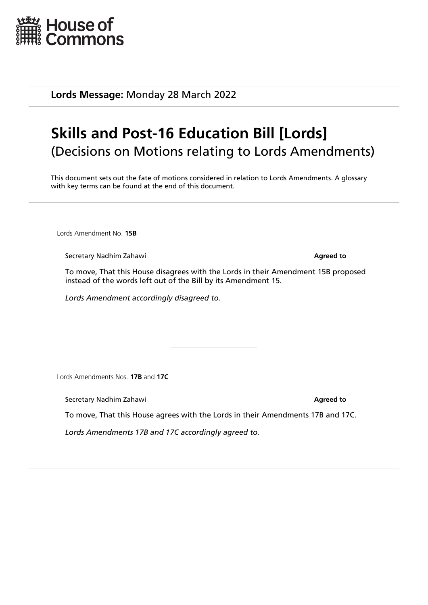

**Lords Message:** Monday 28 March 2022

## **Skills and Post-16 Education Bill [Lords]** (Decisions on Motions relating to Lords Amendments)

This document sets out the fate of motions considered in relation to Lords Amendments. A glossary with key terms can be found at the end of this document.

Lords Amendment No. **15B**

**Secretary Nadhim Zahawi Agreed to Agreed to Agreed to** 

To move, That this House disagrees with the Lords in their Amendment 15B proposed instead of the words left out of the Bill by its Amendment 15.

*Lords Amendment accordingly disagreed to.*

Lords Amendments Nos. **17B** and **17C**

**Secretary Nadhim Zahawi Agreed to a secretary Nadhim Zahawi Agreed to a secretary Nadhim Zahawi Agreed to a secretary Nadhim Zahawi Agreed to a secretary Nadhim Zahawi Agreed to a secretary Nadhim Zahawi Agree** 

To move, That this House agrees with the Lords in their Amendments 17B and 17C.

*Lords Amendments 17B and 17C accordingly agreed to.*